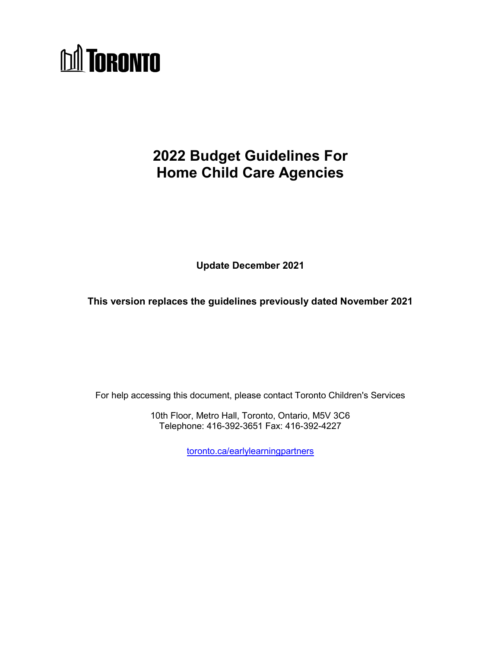# **MA** TORONTO

# **2022 Budget Guidelines For Home Child Care Agencies**

**Update December 2021** 

**This version replaces the guidelines previously dated November 2021**

For help accessing this document, please contact Toronto Children's Services

10th Floor, Metro Hall, Toronto, Ontario, M5V 3C6 Telephone: 416-392-3651 Fax: 416-392-4227

[toronto.ca/earlylearningpartners](http://www.toronto.ca/earlylearningpartners)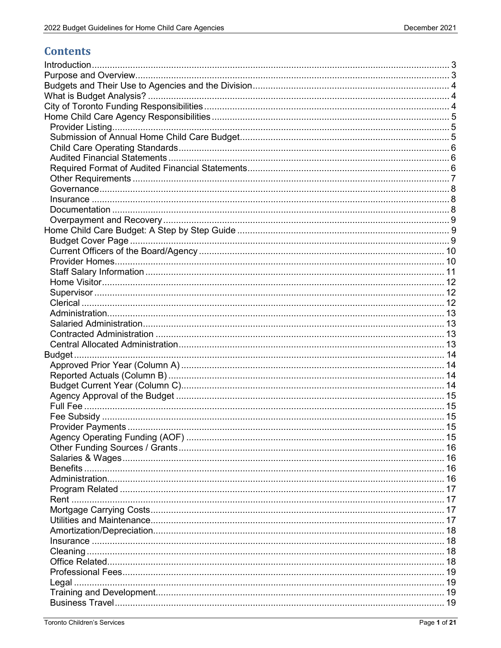# **Contents**

| 15 |
|----|
|    |
|    |
|    |
|    |
|    |
|    |
|    |
|    |
|    |
|    |
|    |
|    |
|    |
|    |
|    |
|    |
|    |
|    |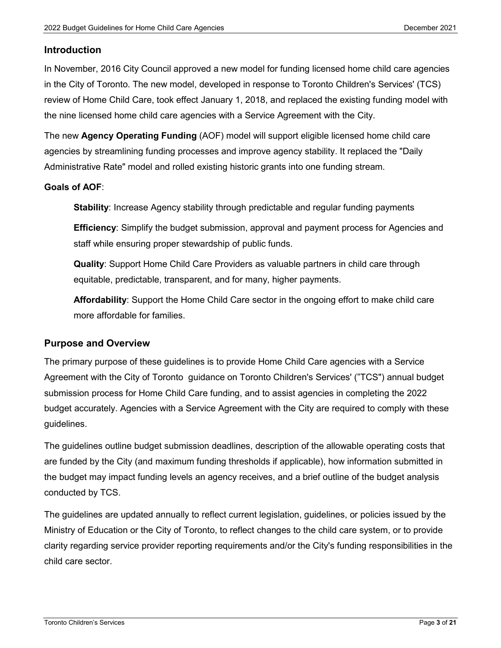#### <span id="page-3-0"></span>**Introduction**

In November, 2016 City Council approved a new model for funding licensed home child care agencies in the City of Toronto. The new model, developed in response to Toronto Children's Services' (TCS) review of Home Child Care, took effect January 1, 2018, and replaced the existing funding model with the nine licensed home child care agencies with a Service Agreement with the City.

The new **Agency Operating Funding** (AOF) model will support eligible licensed home child care agencies by streamlining funding processes and improve agency stability. It replaced the "Daily Administrative Rate" model and rolled existing historic grants into one funding stream.

#### **Goals of AOF**:

**Stability**: Increase Agency stability through predictable and regular funding payments

**Efficiency**: Simplify the budget submission, approval and payment process for Agencies and staff while ensuring proper stewardship of public funds.

**Quality**: Support Home Child Care Providers as valuable partners in child care through equitable, predictable, transparent, and for many, higher payments.

**Affordability**: Support the Home Child Care sector in the ongoing effort to make child care more affordable for families.

#### <span id="page-3-1"></span>**Purpose and Overview**

The primary purpose of these guidelines is to provide Home Child Care agencies with a Service Agreement with the City of Toronto guidance on Toronto Children's Services' ("TCS") annual budget submission process for Home Child Care funding, and to assist agencies in completing the 2022 budget accurately. Agencies with a Service Agreement with the City are required to comply with these guidelines.

The guidelines outline budget submission deadlines, description of the allowable operating costs that are funded by the City (and maximum funding thresholds if applicable), how information submitted in the budget may impact funding levels an agency receives, and a brief outline of the budget analysis conducted by TCS.

The guidelines are updated annually to reflect current legislation, guidelines, or policies issued by the Ministry of Education or the City of Toronto, to reflect changes to the child care system, or to provide clarity regarding service provider reporting requirements and/or the City's funding responsibilities in the child care sector.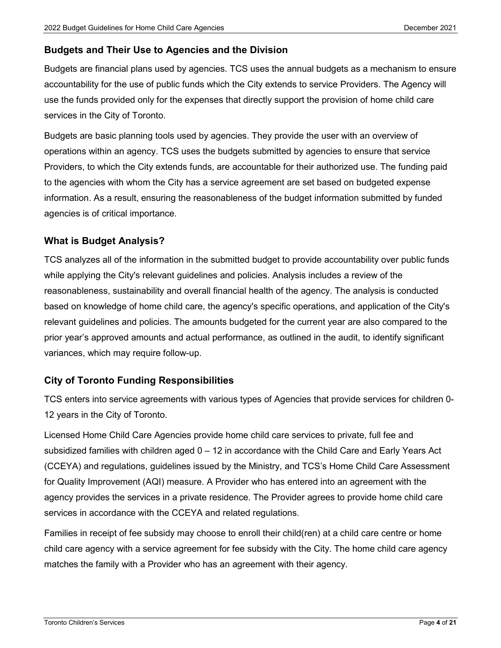# <span id="page-4-0"></span>**Budgets and Their Use to Agencies and the Division**

Budgets are financial plans used by agencies. TCS uses the annual budgets as a mechanism to ensure accountability for the use of public funds which the City extends to service Providers. The Agency will use the funds provided only for the expenses that directly support the provision of home child care services in the City of Toronto.

Budgets are basic planning tools used by agencies. They provide the user with an overview of operations within an agency. TCS uses the budgets submitted by agencies to ensure that service Providers, to which the City extends funds, are accountable for their authorized use. The funding paid to the agencies with whom the City has a service agreement are set based on budgeted expense information. As a result, ensuring the reasonableness of the budget information submitted by funded agencies is of critical importance.

# <span id="page-4-1"></span>**What is Budget Analysis?**

TCS analyzes all of the information in the submitted budget to provide accountability over public funds while applying the City's relevant guidelines and policies. Analysis includes a review of the reasonableness, sustainability and overall financial health of the agency. The analysis is conducted based on knowledge of home child care, the agency's specific operations, and application of the City's relevant guidelines and policies. The amounts budgeted for the current year are also compared to the prior year's approved amounts and actual performance, as outlined in the audit, to identify significant variances, which may require follow-up.

#### <span id="page-4-2"></span>**City of Toronto Funding Responsibilities**

TCS enters into service agreements with various types of Agencies that provide services for children 0- 12 years in the City of Toronto.

Licensed Home Child Care Agencies provide home child care services to private, full fee and subsidized families with children aged  $0 - 12$  in accordance with the Child Care and Early Years Act (CCEYA) and regulations, guidelines issued by the Ministry, and TCS's Home Child Care Assessment for Quality Improvement (AQI) measure. A Provider who has entered into an agreement with the agency provides the services in a private residence. The Provider agrees to provide home child care services in accordance with the CCEYA and related regulations.

Families in receipt of fee subsidy may choose to enroll their child(ren) at a child care centre or home child care agency with a service agreement for fee subsidy with the City. The home child care agency matches the family with a Provider who has an agreement with their agency.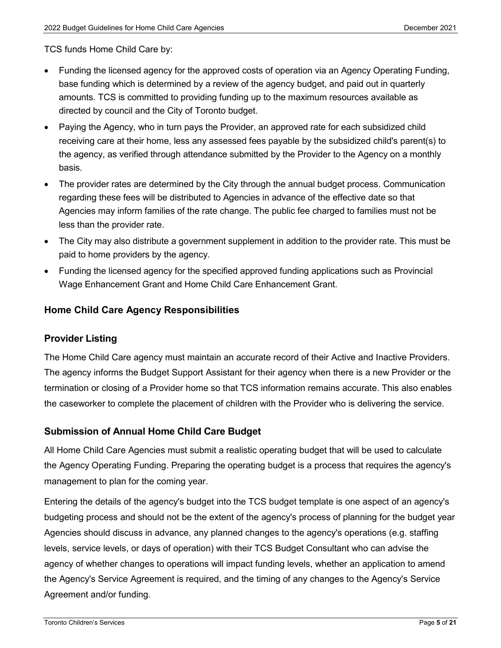TCS funds Home Child Care by:

- Funding the licensed agency for the approved costs of operation via an Agency Operating Funding, base funding which is determined by a review of the agency budget, and paid out in quarterly amounts. TCS is committed to providing funding up to the maximum resources available as directed by council and the City of Toronto budget.
- Paying the Agency, who in turn pays the Provider, an approved rate for each subsidized child receiving care at their home, less any assessed fees payable by the subsidized child's parent(s) to the agency, as verified through attendance submitted by the Provider to the Agency on a monthly basis.
- The provider rates are determined by the City through the annual budget process. Communication regarding these fees will be distributed to Agencies in advance of the effective date so that Agencies may inform families of the rate change. The public fee charged to families must not be less than the provider rate.
- The City may also distribute a government supplement in addition to the provider rate. This must be paid to home providers by the agency.
- Funding the licensed agency for the specified approved funding applications such as Provincial Wage Enhancement Grant and Home Child Care Enhancement Grant.

# <span id="page-5-0"></span>**Home Child Care Agency Responsibilities**

#### <span id="page-5-1"></span>**Provider Listing**

The Home Child Care agency must maintain an accurate record of their Active and Inactive Providers. The agency informs the Budget Support Assistant for their agency when there is a new Provider or the termination or closing of a Provider home so that TCS information remains accurate. This also enables the caseworker to complete the placement of children with the Provider who is delivering the service.

#### <span id="page-5-2"></span>**Submission of Annual Home Child Care Budget**

All Home Child Care Agencies must submit a realistic operating budget that will be used to calculate the Agency Operating Funding. Preparing the operating budget is a process that requires the agency's management to plan for the coming year.

Entering the details of the agency's budget into the TCS budget template is one aspect of an agency's budgeting process and should not be the extent of the agency's process of planning for the budget year Agencies should discuss in advance, any planned changes to the agency's operations (e.g. staffing levels, service levels, or days of operation) with their TCS Budget Consultant who can advise the agency of whether changes to operations will impact funding levels, whether an application to amend the Agency's Service Agreement is required, and the timing of any changes to the Agency's Service Agreement and/or funding.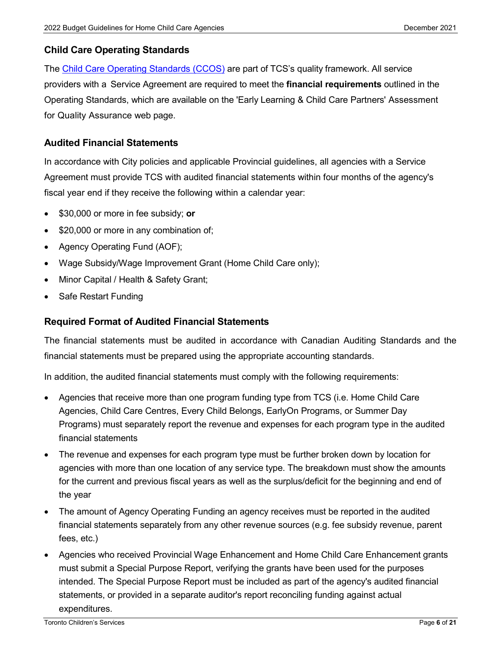# <span id="page-6-0"></span>**Child Care Operating Standards**

The [Child Care Operating Standards \(CCOS\)](https://www.toronto.ca/wp-content/uploads/2019/01/8f5c-cs-aqi-child-care-operating-standards.pdf) are part of TCS's quality framework. All service providers with a Service Agreement are required to meet the **financial requirements** outlined in the Operating Standards, which are available on the 'Early Learning & Child Care Partners' Assessment for Quality Assurance web page.

## <span id="page-6-1"></span>**Audited Financial Statements**

In accordance with City policies and applicable Provincial guidelines, all agencies with a Service Agreement must provide TCS with audited financial statements within four months of the agency's fiscal year end if they receive the following within a calendar year:

- \$30,000 or more in fee subsidy; **or**
- \$20,000 or more in any combination of;
- Agency Operating Fund (AOF);
- Wage Subsidy/Wage Improvement Grant (Home Child Care only);
- Minor Capital / Health & Safety Grant;
- Safe Restart Funding

# <span id="page-6-2"></span>**Required Format of Audited Financial Statements**

The financial statements must be audited in accordance with Canadian Auditing Standards and the financial statements must be prepared using the appropriate accounting standards.

In addition, the audited financial statements must comply with the following requirements:

- Agencies that receive more than one program funding type from TCS (i.e. Home Child Care Agencies, Child Care Centres, Every Child Belongs, EarlyOn Programs, or Summer Day Programs) must separately report the revenue and expenses for each program type in the audited financial statements
- The revenue and expenses for each program type must be further broken down by location for agencies with more than one location of any service type. The breakdown must show the amounts for the current and previous fiscal years as well as the surplus/deficit for the beginning and end of the year
- The amount of Agency Operating Funding an agency receives must be reported in the audited financial statements separately from any other revenue sources (e.g. fee subsidy revenue, parent fees, etc.)
- Agencies who received Provincial Wage Enhancement and Home Child Care Enhancement grants must submit a Special Purpose Report, verifying the grants have been used for the purposes intended. The Special Purpose Report must be included as part of the agency's audited financial statements, or provided in a separate auditor's report reconciling funding against actual expenditures.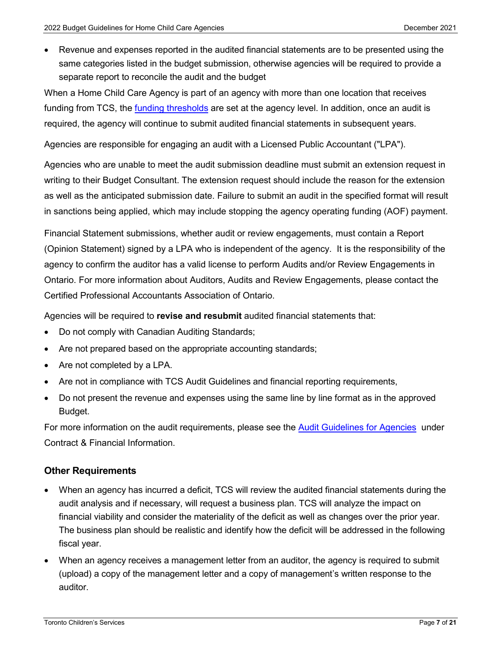• Revenue and expenses reported in the audited financial statements are to be presented using the same categories listed in the budget submission, otherwise agencies will be required to provide a separate report to reconcile the audit and the budget

When a Home Child Care Agency is part of an agency with more than one location that receives funding from TCS, the [funding thresholds](#page-6-1) are set at the agency level. In addition, once an audit is required, the agency will continue to submit audited financial statements in subsequent years.

Agencies are responsible for engaging an audit with a Licensed Public Accountant ("LPA").

Agencies who are unable to meet the audit submission deadline must submit an extension request in writing to their Budget Consultant. The extension request should include the reason for the extension as well as the anticipated submission date. Failure to submit an audit in the specified format will result in sanctions being applied, which may include stopping the agency operating funding (AOF) payment.

Financial Statement submissions, whether audit or review engagements, must contain a Report (Opinion Statement) signed by a LPA who is independent of the agency. It is the responsibility of the agency to confirm the auditor has a valid license to perform Audits and/or Review Engagements in Ontario. For more information about Auditors, Audits and Review Engagements, please contact the Certified Professional Accountants Association of Ontario.

Agencies will be required to **revise and resubmit** audited financial statements that:

- Do not comply with Canadian Auditing Standards;
- Are not prepared based on the appropriate accounting standards;
- Are not completed by a LPA.
- Are not in compliance with TCS Audit Guidelines and financial reporting requirements,
- Do not present the revenue and expenses using the same line by line format as in the approved Budget.

For more information on the audit requirements, please see the **Audit Guidelines for Agencies** under Contract & Financial Information.

#### <span id="page-7-0"></span>**Other Requirements**

- When an agency has incurred a deficit, TCS will review the audited financial statements during the audit analysis and if necessary, will request a business plan. TCS will analyze the impact on financial viability and consider the materiality of the deficit as well as changes over the prior year. The business plan should be realistic and identify how the deficit will be addressed in the following fiscal year.
- When an agency receives a management letter from an auditor, the agency is required to submit (upload) a copy of the management letter and a copy of management's written response to the auditor.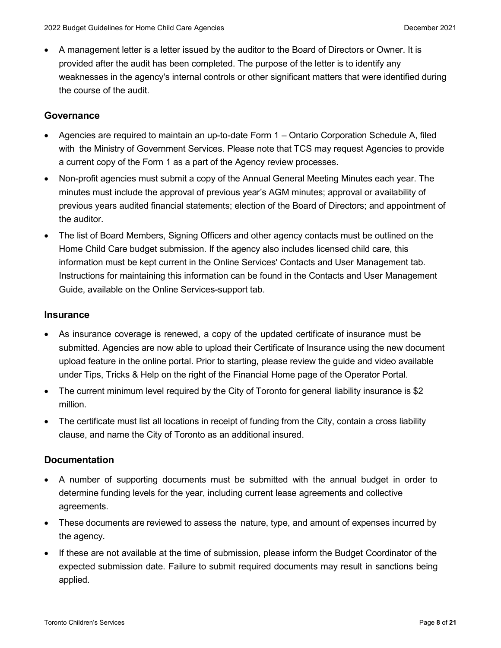• A management letter is a letter issued by the auditor to the Board of Directors or Owner. It is provided after the audit has been completed. The purpose of the letter is to identify any weaknesses in the agency's internal controls or other significant matters that were identified during the course of the audit.

#### <span id="page-8-0"></span>**Governance**

- Agencies are required to maintain an up-to-date Form 1 Ontario Corporation Schedule A, filed with the Ministry of Government Services. Please note that TCS may request Agencies to provide a current copy of the Form 1 as a part of the Agency review processes.
- Non-profit agencies must submit a copy of the Annual General Meeting Minutes each year. The minutes must include the approval of previous year's AGM minutes; approval or availability of previous years audited financial statements; election of the Board of Directors; and appointment of the auditor.
- The list of Board Members, Signing Officers and other agency contacts must be outlined on the Home Child Care budget submission. If the agency also includes licensed child care, this information must be kept current in the Online Services' Contacts and User Management tab. Instructions for maintaining this information can be found in the Contacts and User Management Guide, available on the Online Services-support tab.

#### <span id="page-8-1"></span>**Insurance**

- As insurance coverage is renewed, a copy of the updated certificate of insurance must be submitted. Agencies are now able to upload their Certificate of Insurance using the new document upload feature in the online portal. Prior to starting, please review the guide and video available under Tips, Tricks & Help on the right of the Financial Home page of the Operator Portal.
- The current minimum level required by the City of Toronto for general liability insurance is \$2 million.
- The certificate must list all locations in receipt of funding from the City, contain a cross liability clause, and name the City of Toronto as an additional insured.

#### <span id="page-8-2"></span>**Documentation**

- A number of supporting documents must be submitted with the annual budget in order to determine funding levels for the year, including current lease agreements and collective agreements.
- These documents are reviewed to assess the nature, type, and amount of expenses incurred by the agency.
- If these are not available at the time of submission, please inform the Budget Coordinator of the expected submission date. Failure to submit required documents may result in sanctions being applied.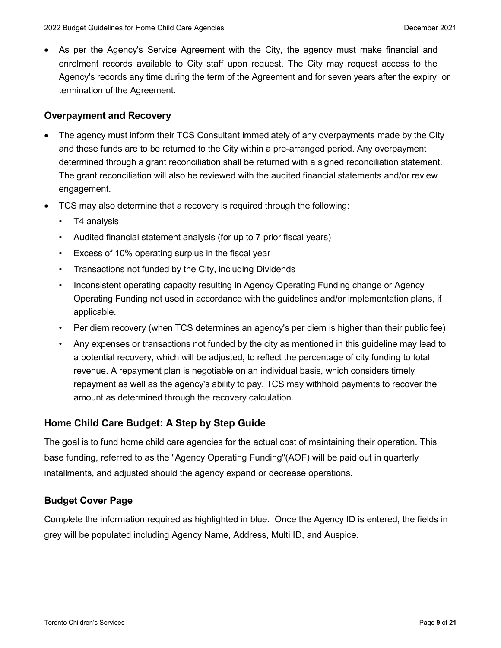• As per the Agency's Service Agreement with the City, the agency must make financial and enrolment records available to City staff upon request. The City may request access to the Agency's records any time during the term of the Agreement and for seven years after the expiry or termination of the Agreement.

#### <span id="page-9-0"></span>**Overpayment and Recovery**

- The agency must inform their TCS Consultant immediately of any overpayments made by the City and these funds are to be returned to the City within a pre-arranged period. Any overpayment determined through a grant reconciliation shall be returned with a signed reconciliation statement. The grant reconciliation will also be reviewed with the audited financial statements and/or review engagement.
- TCS may also determine that a recovery is required through the following:
	- T4 analysis
	- Audited financial statement analysis (for up to 7 prior fiscal years)
	- Excess of 10% operating surplus in the fiscal year
	- Transactions not funded by the City, including Dividends
	- Inconsistent operating capacity resulting in Agency Operating Funding change or Agency Operating Funding not used in accordance with the guidelines and/or implementation plans, if applicable.
	- Per diem recovery (when TCS determines an agency's per diem is higher than their public fee)
	- Any expenses or transactions not funded by the city as mentioned in this guideline may lead to a potential recovery, which will be adjusted, to reflect the percentage of city funding to total revenue. A repayment plan is negotiable on an individual basis, which considers timely repayment as well as the agency's ability to pay. TCS may withhold payments to recover the amount as determined through the recovery calculation.

#### <span id="page-9-1"></span>**Home Child Care Budget: A Step by Step Guide**

The goal is to fund home child care agencies for the actual cost of maintaining their operation. This base funding, referred to as the "Agency Operating Funding"(AOF) will be paid out in quarterly installments, and adjusted should the agency expand or decrease operations.

#### <span id="page-9-2"></span>**Budget Cover Page**

Complete the information required as highlighted in blue. Once the Agency ID is entered, the fields in grey will be populated including Agency Name, Address, Multi ID, and Auspice.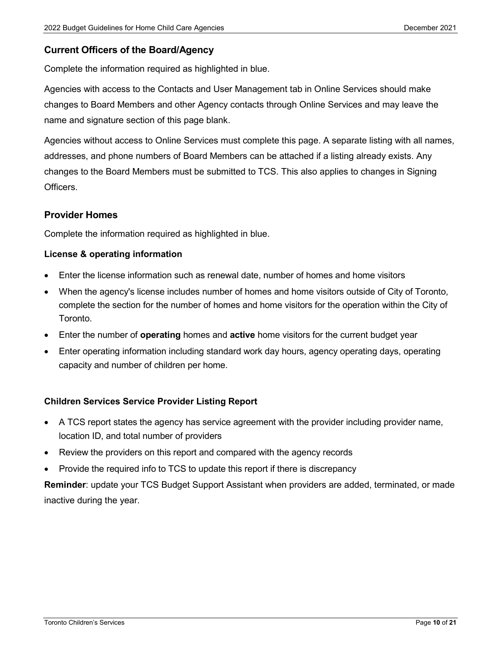#### <span id="page-10-0"></span>**Current Officers of the Board/Agency**

Complete the information required as highlighted in blue.

Agencies with access to the Contacts and User Management tab in Online Services should make changes to Board Members and other Agency contacts through Online Services and may leave the name and signature section of this page blank.

Agencies without access to Online Services must complete this page. A separate listing with all names, addresses, and phone numbers of Board Members can be attached if a listing already exists. Any changes to the Board Members must be submitted to TCS. This also applies to changes in Signing Officers.

#### <span id="page-10-1"></span>**Provider Homes**

Complete the information required as highlighted in blue.

#### **License & operating information**

- Enter the license information such as renewal date, number of homes and home visitors
- When the agency's license includes number of homes and home visitors outside of City of Toronto, complete the section for the number of homes and home visitors for the operation within the City of Toronto.
- Enter the number of **operating** homes and **active** home visitors for the current budget year
- Enter operating information including standard work day hours, agency operating days, operating capacity and number of children per home.

#### **Children Services Service Provider Listing Report**

- A TCS report states the agency has service agreement with the provider including provider name, location ID, and total number of providers
- Review the providers on this report and compared with the agency records
- Provide the required info to TCS to update this report if there is discrepancy

**Reminder**: update your TCS Budget Support Assistant when providers are added, terminated, or made inactive during the year.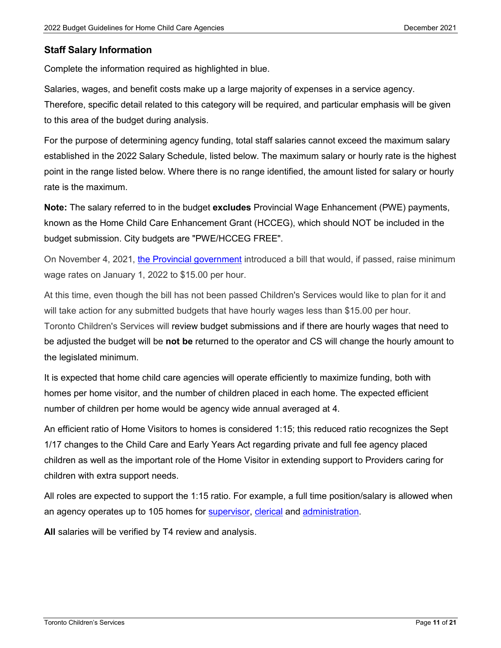# <span id="page-11-0"></span>**Staff Salary Information**

Complete the information required as highlighted in blue.

Salaries, wages, and benefit costs make up a large majority of expenses in a service agency. Therefore, specific detail related to this category will be required, and particular emphasis will be given to this area of the budget during analysis.

For the purpose of determining agency funding, total staff salaries cannot exceed the maximum salary established in the 2022 Salary Schedule, listed below. The maximum salary or hourly rate is the highest point in the range listed below. Where there is no range identified, the amount listed for salary or hourly rate is the maximum.

**Note:** The salary referred to in the budget **excludes** Provincial Wage Enhancement (PWE) payments, known as the Home Child Care Enhancement Grant (HCCEG), which should NOT be included in the budget submission. City budgets are "PWE/HCCEG FREE".

On November 4, 2021, [the Provincial government](https://www.ontario.ca/document/your-guide-employment-standards-act-0/minimum-wage) introduced a bill that would, if passed, raise minimum wage rates on January 1, 2022 to \$15.00 per hour.

At this time, even though the bill has not been passed Children's Services would like to plan for it and will take action for any submitted budgets that have hourly wages less than \$15.00 per hour. Toronto Children's Services will review budget submissions and if there are hourly wages that need to be adjusted the budget will be **not be** returned to the operator and CS will change the hourly amount to the legislated minimum.

It is expected that home child care agencies will operate efficiently to maximize funding, both with homes per home visitor, and the number of children placed in each home. The expected efficient number of children per home would be agency wide annual averaged at 4.

An efficient ratio of Home Visitors to homes is considered 1:15; this reduced ratio recognizes the Sept 1/17 changes to the Child Care and Early Years Act regarding private and full fee agency placed children as well as the important role of the Home Visitor in extending support to Providers caring for children with extra support needs.

All roles are expected to support the 1:15 ratio. For example, a full time position/salary is allowed when an agency operates up to 105 homes for [supervisor,](#page-12-1) [clerical](#page-12-2) and [administration.](#page-13-0)

**All** salaries will be verified by T4 review and analysis.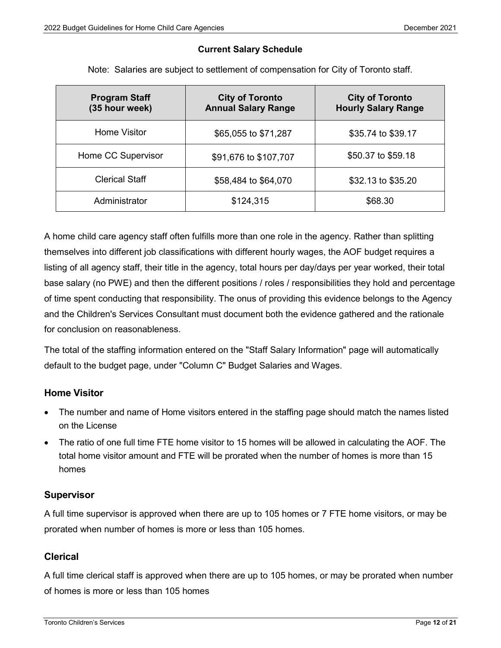#### **Current Salary Schedule**

|  |  |  |  | Note: Salaries are subject to settlement of compensation for City of Toronto staff. |  |  |
|--|--|--|--|-------------------------------------------------------------------------------------|--|--|
|--|--|--|--|-------------------------------------------------------------------------------------|--|--|

| <b>Program Staff</b><br>(35 hour week) | <b>City of Toronto</b><br><b>Annual Salary Range</b> | <b>City of Toronto</b><br><b>Hourly Salary Range</b> |
|----------------------------------------|------------------------------------------------------|------------------------------------------------------|
| Home Visitor                           | \$65,055 to \$71,287                                 | \$35.74 to \$39.17                                   |
| Home CC Supervisor                     | \$91,676 to \$107,707                                | \$50.37 to \$59.18                                   |
| <b>Clerical Staff</b>                  | \$58,484 to \$64,070                                 | \$32.13 to \$35.20                                   |
| Administrator                          | \$124,315                                            | \$68.30                                              |

A home child care agency staff often fulfills more than one role in the agency. Rather than splitting themselves into different job classifications with different hourly wages, the AOF budget requires a listing of all agency staff, their title in the agency, total hours per day/days per year worked, their total base salary (no PWE) and then the different positions / roles / responsibilities they hold and percentage of time spent conducting that responsibility. The onus of providing this evidence belongs to the Agency and the Children's Services Consultant must document both the evidence gathered and the rationale for conclusion on reasonableness.

The total of the staffing information entered on the "Staff Salary Information" page will automatically default to the budget page, under "Column C" Budget Salaries and Wages.

### <span id="page-12-0"></span>**Home Visitor**

- The number and name of Home visitors entered in the staffing page should match the names listed on the License
- The ratio of one full time FTE home visitor to 15 homes will be allowed in calculating the AOF. The total home visitor amount and FTE will be prorated when the number of homes is more than 15 homes

#### <span id="page-12-1"></span>**Supervisor**

A full time supervisor is approved when there are up to 105 homes or 7 FTE home visitors, or may be prorated when number of homes is more or less than 105 homes.

# <span id="page-12-2"></span>**Clerical**

A full time clerical staff is approved when there are up to 105 homes, or may be prorated when number of homes is more or less than 105 homes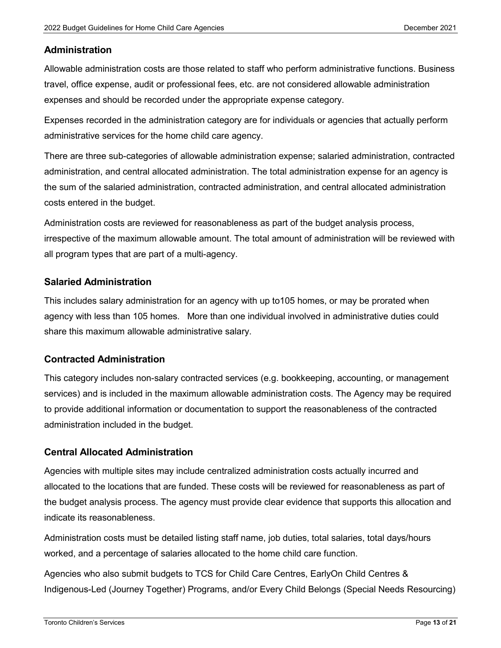#### <span id="page-13-0"></span>**Administration**

Allowable administration costs are those related to staff who perform administrative functions. Business travel, office expense, audit or professional fees, etc. are not considered allowable administration expenses and should be recorded under the appropriate expense category.

Expenses recorded in the administration category are for individuals or agencies that actually perform administrative services for the home child care agency.

There are three sub-categories of allowable administration expense; salaried administration, contracted administration, and central allocated administration. The total administration expense for an agency is the sum of the salaried administration, contracted administration, and central allocated administration costs entered in the budget.

Administration costs are reviewed for reasonableness as part of the budget analysis process, irrespective of the maximum allowable amount. The total amount of administration will be reviewed with all program types that are part of a multi-agency.

#### <span id="page-13-1"></span>**Salaried Administration**

This includes salary administration for an agency with up to105 homes, or may be prorated when agency with less than 105 homes. More than one individual involved in administrative duties could share this maximum allowable administrative salary.

#### <span id="page-13-2"></span>**Contracted Administration**

This category includes non-salary contracted services (e.g. bookkeeping, accounting, or management services) and is included in the maximum allowable administration costs. The Agency may be required to provide additional information or documentation to support the reasonableness of the contracted administration included in the budget.

#### <span id="page-13-3"></span>**Central Allocated Administration**

Agencies with multiple sites may include centralized administration costs actually incurred and allocated to the locations that are funded. These costs will be reviewed for reasonableness as part of the budget analysis process. The agency must provide clear evidence that supports this allocation and indicate its reasonableness.

Administration costs must be detailed listing staff name, job duties, total salaries, total days/hours worked, and a percentage of salaries allocated to the home child care function.

Agencies who also submit budgets to TCS for Child Care Centres, EarlyOn Child Centres & Indigenous-Led (Journey Together) Programs, and/or Every Child Belongs (Special Needs Resourcing)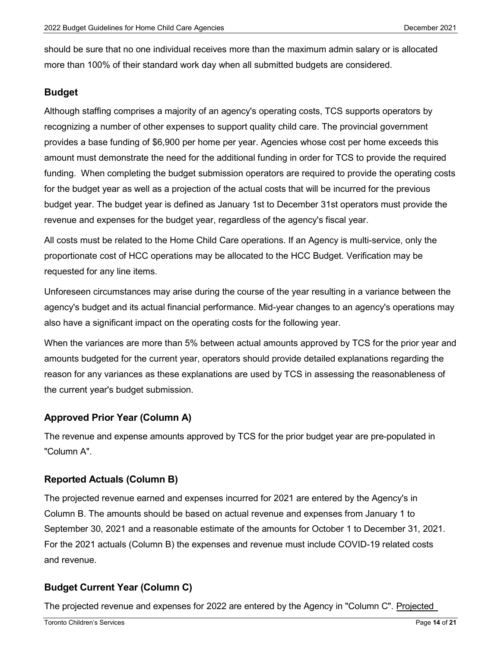should be sure that no one individual receives more than the maximum admin salary or is allocated more than 100% of their standard work day when all submitted budgets are considered.

#### <span id="page-14-0"></span>**Budget**

Although staffing comprises a majority of an agency's operating costs, TCS supports operators by recognizing a number of other expenses to support quality child care. The provincial government provides a base funding of \$6,900 per home per year. Agencies whose cost per home exceeds this amount must demonstrate the need for the additional funding in order for TCS to provide the required funding. When completing the budget submission operators are required to provide the operating costs for the budget year as well as a projection of the actual costs that will be incurred for the previous budget year. The budget year is defined as January 1st to December 31st operators must provide the revenue and expenses for the budget year, regardless of the agency's fiscal year.

All costs must be related to the Home Child Care operations. If an Agency is multi-service, only the proportionate cost of HCC operations may be allocated to the HCC Budget. Verification may be requested for any line items.

Unforeseen circumstances may arise during the course of the year resulting in a variance between the agency's budget and its actual financial performance. Mid-year changes to an agency's operations may also have a significant impact on the operating costs for the following year.

When the variances are more than 5% between actual amounts approved by TCS for the prior year and amounts budgeted for the current year, operators should provide detailed explanations regarding the reason for any variances as these explanations are used by TCS in assessing the reasonableness of the current year's budget submission.

#### <span id="page-14-1"></span>**Approved Prior Year (Column A)**

The revenue and expense amounts approved by TCS for the prior budget year are pre-populated in "Column A".

#### <span id="page-14-2"></span>**Reported Actuals (Column B)**

The projected revenue earned and expenses incurred for 2021 are entered by the Agency's in Column B. The amounts should be based on actual revenue and expenses from January 1 to September 30, 2021 and a reasonable estimate of the amounts for October 1 to December 31, 2021. For the 2021 actuals (Column B) the expenses and revenue must include COVID-19 related costs and revenue.

#### <span id="page-14-3"></span>**Budget Current Year (Column C)**

The projected revenue and expenses for 2022 are entered by the Agency in "Column C". Projected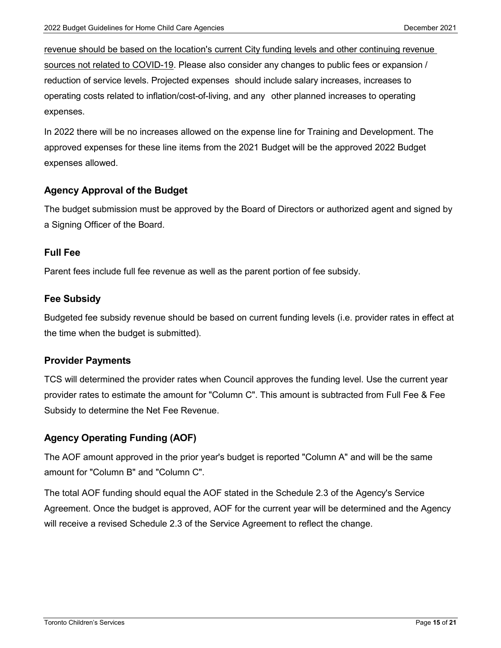revenue should be based on the location's current City funding levels and other continuing revenue sources not related to COVID-19. Please also consider any changes to public fees or expansion / reduction of service levels. Projected expenses should include salary increases, increases to operating costs related to inflation/cost-of-living, and any other planned increases to operating expenses.

In 2022 there will be no increases allowed on the expense line for Training and Development. The approved expenses for these line items from the 2021 Budget will be the approved 2022 Budget expenses allowed.

# <span id="page-15-0"></span>**Agency Approval of the Budget**

The budget submission must be approved by the Board of Directors or authorized agent and signed by a Signing Officer of the Board.

### <span id="page-15-1"></span>**Full Fee**

Parent fees include full fee revenue as well as the parent portion of fee subsidy.

#### <span id="page-15-2"></span>**Fee Subsidy**

Budgeted fee subsidy revenue should be based on current funding levels (i.e. provider rates in effect at the time when the budget is submitted).

#### <span id="page-15-3"></span>**Provider Payments**

TCS will determined the provider rates when Council approves the funding level. Use the current year provider rates to estimate the amount for "Column C". This amount is subtracted from Full Fee & Fee Subsidy to determine the Net Fee Revenue.

#### <span id="page-15-4"></span>**Agency Operating Funding (AOF)**

The AOF amount approved in the prior year's budget is reported "Column A" and will be the same amount for "Column B" and "Column C".

The total AOF funding should equal the AOF stated in the Schedule 2.3 of the Agency's Service Agreement. Once the budget is approved, AOF for the current year will be determined and the Agency will receive a revised Schedule 2.3 of the Service Agreement to reflect the change.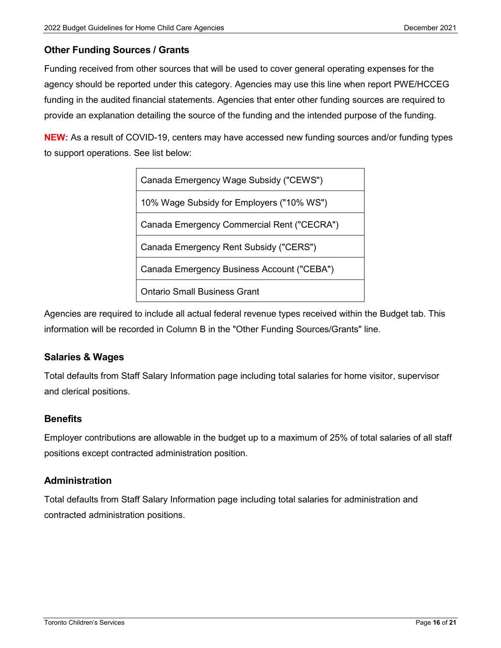# <span id="page-16-0"></span>**Other Funding Sources / Grants**

Funding received from other sources that will be used to cover general operating expenses for the agency should be reported under this category. Agencies may use this line when report PWE/HCCEG funding in the audited financial statements. Agencies that enter other funding sources are required to provide an explanation detailing the source of the funding and the intended purpose of the funding.

**NEW:** As a result of COVID-19, centers may have accessed new funding sources and/or funding types to support operations. See list below:

| Canada Emergency Wage Subsidy ("CEWS")     |
|--------------------------------------------|
| 10% Wage Subsidy for Employers ("10% WS")  |
| Canada Emergency Commercial Rent ("CECRA") |
| Canada Emergency Rent Subsidy ("CERS")     |
| Canada Emergency Business Account ("CEBA") |
| <b>Ontario Small Business Grant</b>        |

Agencies are required to include all actual federal revenue types received within the Budget tab. This information will be recorded in Column B in the "Other Funding Sources/Grants" line.

#### <span id="page-16-1"></span>**Salaries & Wages**

Total defaults from Staff Salary Information page including total salaries for home visitor, supervisor and clerical positions.

#### <span id="page-16-2"></span>**Benefits**

Employer contributions are allowable in the budget up to a maximum of 25% of total salaries of all staff positions except contracted administration position.

#### <span id="page-16-3"></span>**Administr**a**tion**

Total defaults from Staff Salary Information page including total salaries for administration and contracted administration positions.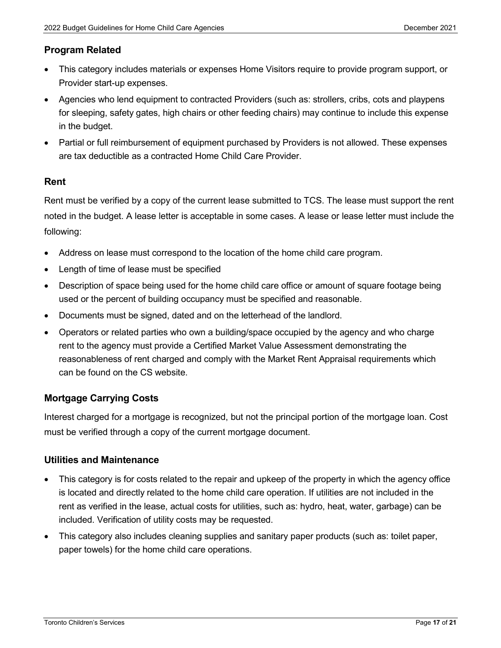# <span id="page-17-0"></span>**Program Related**

- This category includes materials or expenses Home Visitors require to provide program support, or Provider start-up expenses.
- Agencies who lend equipment to contracted Providers (such as: strollers, cribs, cots and playpens for sleeping, safety gates, high chairs or other feeding chairs) may continue to include this expense in the budget.
- Partial or full reimbursement of equipment purchased by Providers is not allowed. These expenses are tax deductible as a contracted Home Child Care Provider.

# <span id="page-17-1"></span>**Rent**

Rent must be verified by a copy of the current lease submitted to TCS. The lease must support the rent noted in the budget. A lease letter is acceptable in some cases. A lease or lease letter must include the following:

- Address on lease must correspond to the location of the home child care program.
- Length of time of lease must be specified
- Description of space being used for the home child care office or amount of square footage being used or the percent of building occupancy must be specified and reasonable.
- Documents must be signed, dated and on the letterhead of the landlord.
- Operators or related parties who own a building/space occupied by the agency and who charge rent to the agency must provide a Certified Market Value Assessment demonstrating the reasonableness of rent charged and comply with the Market Rent Appraisal requirements which can be found on the CS website.

# <span id="page-17-2"></span>**Mortgage Carrying Costs**

Interest charged for a mortgage is recognized, but not the principal portion of the mortgage loan. Cost must be verified through a copy of the current mortgage document.

# <span id="page-17-3"></span>**Utilities and Maintenance**

- This category is for costs related to the repair and upkeep of the property in which the agency office is located and directly related to the home child care operation. If utilities are not included in the rent as verified in the lease, actual costs for utilities, such as: hydro, heat, water, garbage) can be included. Verification of utility costs may be requested.
- This category also includes cleaning supplies and sanitary paper products (such as: toilet paper, paper towels) for the home child care operations.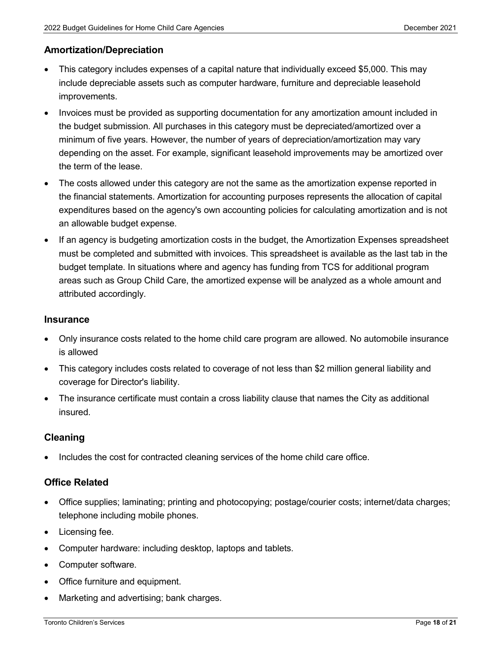# <span id="page-18-0"></span>**Amortization/Depreciation**

- This category includes expenses of a capital nature that individually exceed \$5,000. This may include depreciable assets such as computer hardware, furniture and depreciable leasehold improvements.
- Invoices must be provided as supporting documentation for any amortization amount included in the budget submission. All purchases in this category must be depreciated/amortized over a minimum of five years. However, the number of years of depreciation/amortization may vary depending on the asset. For example, significant leasehold improvements may be amortized over the term of the lease.
- The costs allowed under this category are not the same as the amortization expense reported in the financial statements. Amortization for accounting purposes represents the allocation of capital expenditures based on the agency's own accounting policies for calculating amortization and is not an allowable budget expense.
- If an agency is budgeting amortization costs in the budget, the Amortization Expenses spreadsheet must be completed and submitted with invoices. This spreadsheet is available as the last tab in the budget template. In situations where and agency has funding from TCS for additional program areas such as Group Child Care, the amortized expense will be analyzed as a whole amount and attributed accordingly.

#### <span id="page-18-1"></span>**Insurance**

- Only insurance costs related to the home child care program are allowed. No automobile insurance is allowed
- This category includes costs related to coverage of not less than \$2 million general liability and coverage for Director's liability.
- The insurance certificate must contain a cross liability clause that names the City as additional insured.

# <span id="page-18-2"></span>**Cleaning**

• Includes the cost for contracted cleaning services of the home child care office.

# <span id="page-18-3"></span>**Office Related**

- Office supplies; laminating; printing and photocopying; postage/courier costs; internet/data charges; telephone including mobile phones.
- Licensing fee.
- Computer hardware: including desktop, laptops and tablets.
- Computer software.
- Office furniture and equipment.
- Marketing and advertising; bank charges.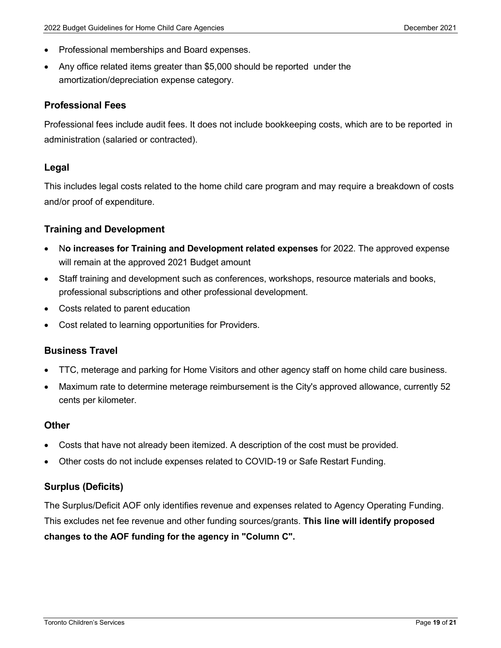- Professional memberships and Board expenses.
- Any office related items greater than \$5,000 should be reported under the amortization/depreciation expense category.

#### <span id="page-19-0"></span>**Professional Fees**

Professional fees include audit fees. It does not include bookkeeping costs, which are to be reported in administration (salaried or contracted).

#### <span id="page-19-1"></span>**Legal**

This includes legal costs related to the home child care program and may require a breakdown of costs and/or proof of expenditure.

#### <span id="page-19-2"></span>**Training and Development**

- N**o increases for Training and Development related expenses** for 2022. The approved expense will remain at the approved 2021 Budget amount
- Staff training and development such as conferences, workshops, resource materials and books, professional subscriptions and other professional development.
- Costs related to parent education
- Cost related to learning opportunities for Providers.

#### <span id="page-19-3"></span>**Business Travel**

- TTC, meterage and parking for Home Visitors and other agency staff on home child care business.
- Maximum rate to determine meterage reimbursement is the City's approved allowance, currently 52 cents per kilometer.

#### <span id="page-19-4"></span>**Other**

- Costs that have not already been itemized. A description of the cost must be provided.
- Other costs do not include expenses related to COVID-19 or Safe Restart Funding.

#### <span id="page-19-5"></span>**Surplus (Deficits)**

The Surplus/Deficit AOF only identifies revenue and expenses related to Agency Operating Funding. This excludes net fee revenue and other funding sources/grants. **This line will identify proposed changes to the AOF funding for the agency in "Column C".**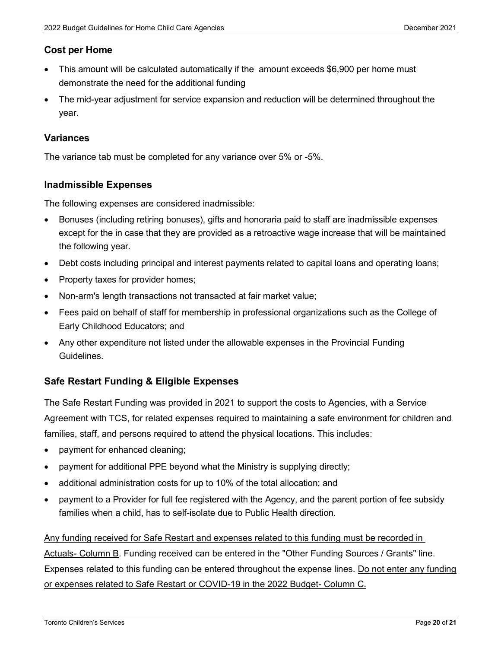# <span id="page-20-0"></span>**Cost per Home**

- This amount will be calculated automatically if the amount exceeds \$6,900 per home must demonstrate the need for the additional funding
- The mid-year adjustment for service expansion and reduction will be determined throughout the year.

#### <span id="page-20-1"></span>**Variances**

The variance tab must be completed for any variance over 5% or -5%.

# <span id="page-20-2"></span>**Inadmissible Expenses**

The following expenses are considered inadmissible:

- Bonuses (including retiring bonuses), gifts and honoraria paid to staff are inadmissible expenses except for the in case that they are provided as a retroactive wage increase that will be maintained the following year.
- Debt costs including principal and interest payments related to capital loans and operating loans;
- Property taxes for provider homes;
- Non-arm's length transactions not transacted at fair market value;
- Fees paid on behalf of staff for membership in professional organizations such as the College of Early Childhood Educators; and
- Any other expenditure not listed under the allowable expenses in the Provincial Funding Guidelines.

# <span id="page-20-3"></span>**Safe Restart Funding & Eligible Expenses**

The Safe Restart Funding was provided in 2021 to support the costs to Agencies, with a Service Agreement with TCS, for related expenses required to maintaining a safe environment for children and families, staff, and persons required to attend the physical locations. This includes:

- payment for enhanced cleaning;
- payment for additional PPE beyond what the Ministry is supplying directly;
- additional administration costs for up to 10% of the total allocation; and
- payment to a Provider for full fee registered with the Agency, and the parent portion of fee subsidy families when a child, has to self-isolate due to Public Health direction.

#### Any funding received for Safe Restart and expenses related to this funding must be recorded in

Actuals- Column B. Funding received can be entered in the "Other Funding Sources / Grants" line. Expenses related to this funding can be entered throughout the expense lines. Do not enter any funding or expenses related to Safe Restart or COVID-19 in the 2022 Budget- Column C.